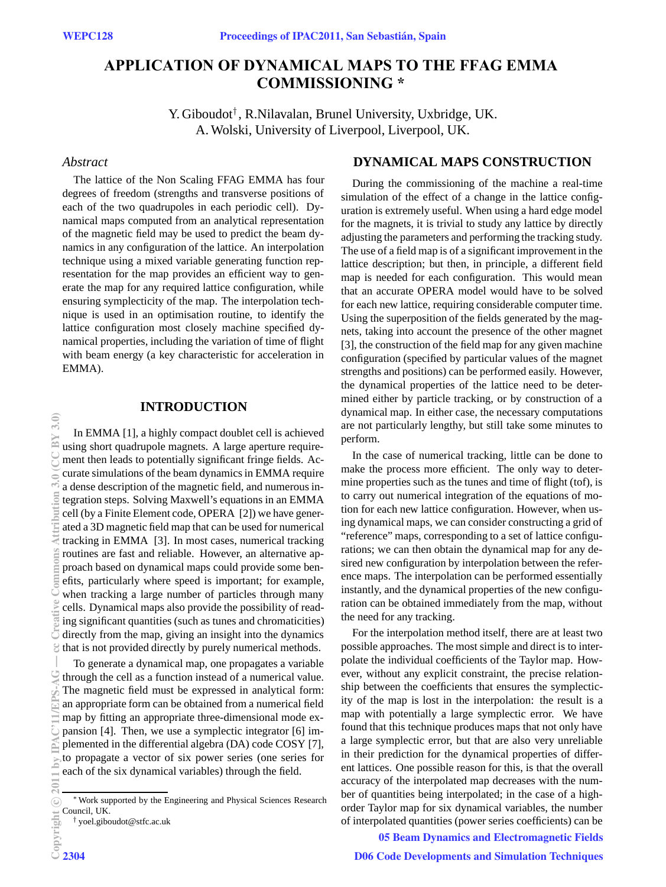# **APPLICATION OF DYNAMICAL MAPS TO THE FFAG EMMA COMMISSIONING \***

Y. Giboudot*†* , R.Nilavalan, Brunel University, Uxbridge, UK. A. Wolski, University of Liverpool, Liverpool, UK.

## *Abstract*

The lattice of the Non Scaling FFAG EMMA has four degrees of freedom (strengths and transverse positions of each of the two quadrupoles in each periodic cell). Dynamical maps computed from an analytical representation of the magnetic field may be used to predict the beam dynamics in any configuration of the lattice. An interpolation technique using a mixed variable generating function representation for the map provides an efficient way to generate the map for any required lattice configuration, while ensuring symplecticity of the map. The interpolation technique is used in an optimisation routine, to identify the lattice configuration most closely machine specified dynamical properties, including the variation of time of flight with beam energy (a key characteristic for acceleration in EMMA).

# **INTRODUCTION**

In EMMA [1], a highly compact doublet cell is achieved using short quadrupole magnets. A large aperture requirement then leads to potentially significant fringe fields. Accurate simulations of the beam dynamics in EMMA require a dense description of the magnetic field, and numerous integration steps. Solving Maxwell's equations in an EMMA cell (by a Finite Element code, OPERA [2]) we have generated a 3D magnetic field map that can be used for numerical tracking in EMMA [3]. In most cases, numerical tracking routines are fast and reliable. However, an alternative approach based on dynamical maps could provide some benefits, particularly where speed is important; for example, when tracking a large number of particles through many cells. Dynamical maps also provide the possibility of reading significant quantities (such as tunes and chromaticities) directly from the map, giving an insight into the dynamics that is not provided directly by purely numerical methods. (0,6 Δ¤∪∪) o,6 doubletiziant commons a te ce at the ro p d w ce in di th d f T ar m p ¤ pl to e a — .

To generate a dynamical map, one propagates a variable through the cell as a function instead of a numerical value. The magnetic field must be expressed in analytical form: an appropriate form can be obtained from a numerical field map by fitting an appropriate three-dimensional mode expansion [4]. Then, we use a symplectic integrator [6] implemented in the differential algebra (DA) code COSY [7], to propagate a vector of six power series (one series for each of the six dynamical variables) through the field.

 $\widetilde{\mathcal{R}}$ 

## **DYNAMICAL MAPS CONSTRUCTION**

During the commissioning of the machine a real-time simulation of the effect of a change in the lattice configuration is extremely useful. When using a hard edge model for the magnets, it is trivial to study any lattice by directly adjusting the parameters and performing the tracking study. The use of a field map is of a significant improvement in the lattice description; but then, in principle, a different field map is needed for each configuration. This would mean that an accurate OPERA model would have to be solved for each new lattice, requiring considerable computer time. Using the superposition of the fields generated by the magnets, taking into account the presence of the other magnet [3], the construction of the field map for any given machine configuration (specified by particular values of the magnet strengths and positions) can be performed easily. However, the dynamical properties of the lattice need to be determined either by particle tracking, or by construction of a dynamical map. In either case, the necessary computations are not particularly lengthy, but still take some minutes to perform.

In the case of numerical tracking, little can be done to make the process more efficient. The only way to determine properties such as the tunes and time of flight (tof), is to carry out numerical integration of the equations of motion for each new lattice configuration. However, when using dynamical maps, we can consider constructing a grid of "reference" maps, corresponding to a set of lattice configurations; we can then obtain the dynamical map for any desired new configuration by interpolation between the reference maps. The interpolation can be performed essentially instantly, and the dynamical properties of the new configuration can be obtained immediately from the map, without the need for any tracking.

For the interpolation method itself, there are at least two possible approaches. The most simple and direct is to interpolate the individual coefficients of the Taylor map. However, without any explicit constraint, the precise relationship between the coefficients that ensures the symplecticity of the map is lost in the interpolation: the result is a map with potentially a large symplectic error. We have found that this technique produces maps that not only have a large symplectic error, but that are also very unreliable in their prediction for the dynamical properties of different lattices. One possible reason for this, is that the overall accuracy of the interpolated map decreases with the number of quantities being interpolated; in the case of a highorder Taylor map for six dynamical variables, the number of interpolated quantities (power series coefficients) can be

05 Beam Dynamics and Electromagnetic Fields

<sup>∗</sup>Work supported by the Engineering and Physical Sciences Research Council, UK.

<sup>†</sup> yoel.giboudot@stfc.ac.uk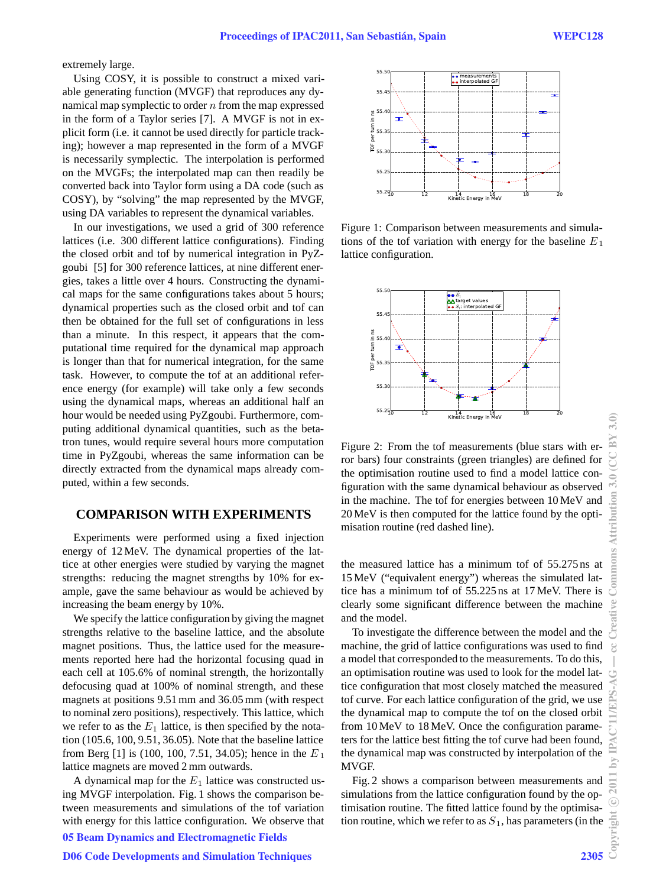extremely large.

Using COSY, it is possible to construct a mixed variable generating function (MVGF) that reproduces any dynamical map symplectic to order *n* from the map expressed in the form of a Taylor series [7]. A MVGF is not in explicit form (i.e. it cannot be used directly for particle tracking); however a map represented in the form of a MVGF is necessarily symplectic. The interpolation is performed on the MVGFs; the interpolated map can then readily be converted back into Taylor form using a DA code (such as COSY), by "solving" the map represented by the MVGF, using DA variables to represent the dynamical variables.

In our investigations, we used a grid of 300 reference lattices (i.e. 300 different lattice configurations). Finding the closed orbit and tof by numerical integration in PyZgoubi [5] for 300 reference lattices, at nine different energies, takes a little over 4 hours. Constructing the dynamical maps for the same configurations takes about 5 hours; dynamical properties such as the closed orbit and tof can then be obtained for the full set of configurations in less than a minute. In this respect, it appears that the computational time required for the dynamical map approach is longer than that for numerical integration, for the same task. However, to compute the tof at an additional reference energy (for example) will take only a few seconds using the dynamical maps, whereas an additional half an hour would be needed using PyZgoubi. Furthermore, computing additional dynamical quantities, such as the betatron tunes, would require several hours more computation time in PyZgoubi, whereas the same information can be directly extracted from the dynamical maps already computed, within a few seconds.

## **COMPARISON WITH EXPERIMENTS**

Experiments were performed using a fixed injection energy of 12 MeV. The dynamical properties of the lattice at other energies were studied by varying the magnet strengths: reducing the magnet strengths by 10% for example, gave the same behaviour as would be achieved by increasing the beam energy by 10%.

We specify the lattice configuration by giving the magnet strengths relative to the baseline lattice, and the absolute magnet positions. Thus, the lattice used for the measurements reported here had the horizontal focusing quad in each cell at 105.6% of nominal strength, the horizontally defocusing quad at 100% of nominal strength, and these magnets at positions 9.51 mm and 36.05 mm (with respect to nominal zero positions), respectively. This lattice, which we refer to as the  $E_1$  lattice, is then specified by the notation (105.6, 100, 9.51, 36.05). Note that the baseline lattice from Berg [1] is (100, 100, 7.51, 34.05); hence in the *E* <sup>1</sup> lattice magnets are moved 2 mm outwards.

A dynamical map for the  $E_1$  lattice was constructed using MVGF interpolation. Fig. 1 shows the comparison between measurements and simulations of the tof variation with energy for this lattice configuration. We observe that 05 Beam Dynamics and Electromagnetic Fields

#### D06 Code Developments and Simulation Techniques 2305



Figure 1: Comparison between measurements and simulations of the tof variation with energy for the baseline *E*<sup>1</sup> lattice configuration.



Figure 2: From the tof measurements (blue stars with error bars) four constraints (green triangles) are defined for the optimisation routine used to find a model lattice configuration with the same dynamical behaviour as observed in the machine. The tof for energies between 10 MeV and 20 MeV is then computed for the lattice found by the optimisation routine (red dashed line).

the measured lattice has a minimum tof of 55.275 ns at 15 MeV ("equivalent energy") whereas the simulated lattice has a minimum tof of 55.225 ns at 17 MeV. There is clearly some significant difference between the machine and the model.

To investigate the difference between the model and the machine, the grid of lattice configurations was used to find a model that corresponded to the measurements. To do this, an optimisation routine was used to look for the model lattice configuration that most closely matched the measured tof curve. For each lattice configuration of the grid, we use the dynamical map to compute the tof on the closed orbit from 10 MeV to 18 MeV. Once the configuration parameters for the lattice best fitting the tof curve had been found, the dynamical map was constructed by interpolation of the MVGF.

Fig. 2 shows a comparison between measurements and simulations from the lattice configuration found by the optimisation routine. The fitted lattice found by the optimisation routine, which we refer to as  $S_1$ , has parameters (in the